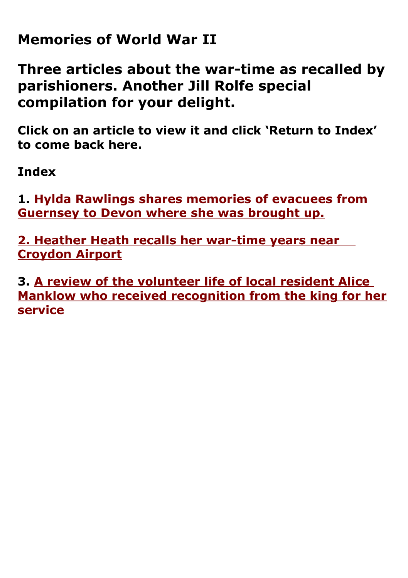### **Memories of World War II**

**Three articles about the war-time as recalled by parishioners. Another Jill Rolfe special compilation for your delight.**

**Click on an article to view it and click 'Return to Index' to come back here.**

<span id="page-0-0"></span>**Index**

**1[. Hylda Rawlings shares memories of evacuees from](#page-1-0)  [Guernsey to Devon where she was brought up.](#page-1-0)**

**[2. Heather Heath recalls her war-time years near](#page-4-0)  [Croydon Airport](#page-4-0)**

**3. [A review of the volunteer life of local resident Alice](#page-10-0)  [Manklow who received recognition from the king for her](#page-10-0) [service](#page-10-0)**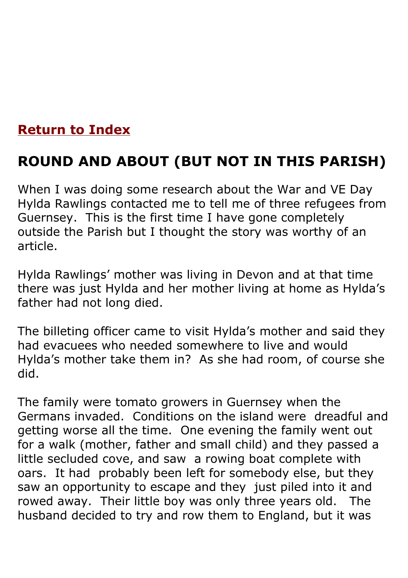### **[Return to Index](#page-0-0)**

## <span id="page-1-0"></span>**ROUND AND ABOUT (BUT NOT IN THIS PARISH)**

When I was doing some research about the War and VE Day Hylda Rawlings contacted me to tell me of three refugees from Guernsey. This is the first time I have gone completely outside the Parish but I thought the story was worthy of an article.

Hylda Rawlings' mother was living in Devon and at that time there was just Hylda and her mother living at home as Hylda's father had not long died.

The billeting officer came to visit Hylda's mother and said they had evacuees who needed somewhere to live and would Hylda's mother take them in? As she had room, of course she did.

The family were tomato growers in Guernsey when the Germans invaded. Conditions on the island were dreadful and getting worse all the time. One evening the family went out for a walk (mother, father and small child) and they passed a little secluded cove, and saw a rowing boat complete with oars. It had probably been left for somebody else, but they saw an opportunity to escape and they just piled into it and rowed away. Their little boy was only three years old. The husband decided to try and row them to England, but it was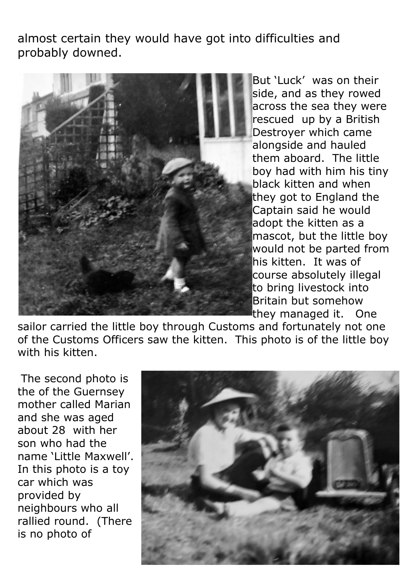almost certain they would have got into difficulties and probably downed.



But 'Luck' was on their side, and as they rowed across the sea they were rescued up by a British Destroyer which came alongside and hauled them aboard. The little boy had with him his tiny black kitten and when they got to England the Captain said he would adopt the kitten as a mascot, but the little bov would not be parted from his kitten. It was of course absolutely illegal to bring livestock into Britain but somehow they managed it. One

sailor carried the little boy through Customs and fortunately not one of the Customs Officers saw the kitten. This photo is of the little boy with his kitten.

The second photo is the of the Guernsey mother called Marian and she was aged about 28 with her son who had the name 'Little Maxwell'. In this photo is a toy car which was provided by neighbours who all rallied round. (There is no photo of

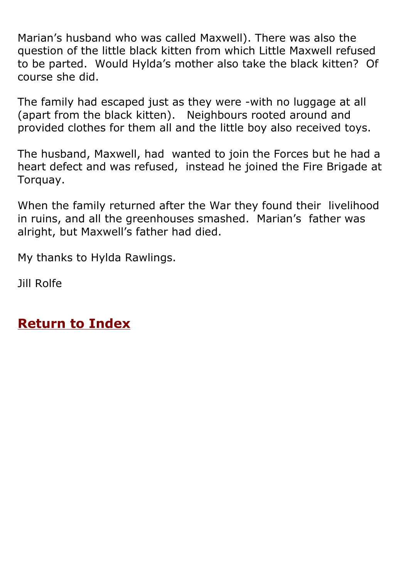Marian's husband who was called Maxwell). There was also the question of the little black kitten from which Little Maxwell refused to be parted. Would Hylda's mother also take the black kitten? Of course she did.

The family had escaped just as they were -with no luggage at all (apart from the black kitten). Neighbours rooted around and provided clothes for them all and the little boy also received toys.

The husband, Maxwell, had wanted to join the Forces but he had a heart defect and was refused, instead he joined the Fire Brigade at Torquay.

When the family returned after the War they found their livelihood in ruins, and all the greenhouses smashed. Marian's father was alright, but Maxwell's father had died.

My thanks to Hylda Rawlings.

Jill Rolfe

**[Return to Index](#page-0-0)**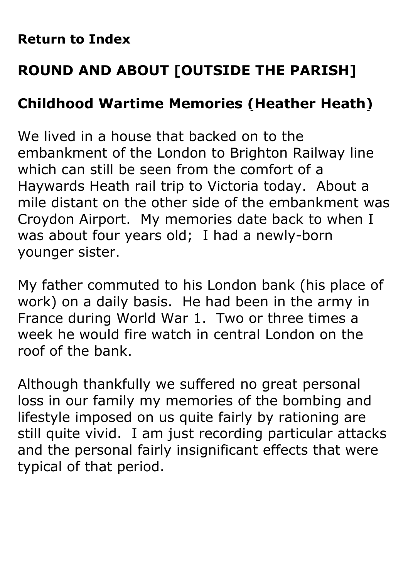### **[Return to Index](#page-0-0)**

# <span id="page-4-0"></span>**ROUND AND ABOUT [OUTSIDE THE PARISH]**

## **Childhood Wartime Memories (Heather Heath)**

We lived in a house that backed on to the embankment of the London to Brighton Railway line which can still be seen from the comfort of a Haywards Heath rail trip to Victoria today. About a mile distant on the other side of the embankment was Croydon Airport. My memories date back to when I was about four years old; I had a newly-born younger sister.

My father commuted to his London bank (his place of work) on a daily basis. He had been in the army in France during World War 1. Two or three times a week he would fire watch in central London on the roof of the bank.

Although thankfully we suffered no great personal loss in our family my memories of the bombing and lifestyle imposed on us quite fairly by rationing are still quite vivid. I am just recording particular attacks and the personal fairly insignificant effects that were typical of that period.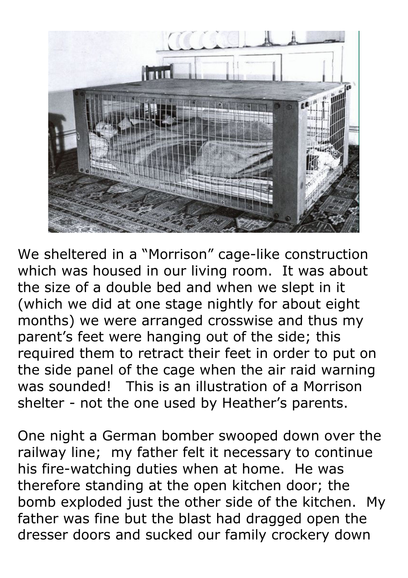

We sheltered in a "Morrison" cage-like construction which was housed in our living room. It was about the size of a double bed and when we slept in it (which we did at one stage nightly for about eight months) we were arranged crosswise and thus my parent's feet were hanging out of the side; this required them to retract their feet in order to put on the side panel of the cage when the air raid warning was sounded! This is an illustration of a Morrison shelter - not the one used by Heather's parents.

One night a German bomber swooped down over the railway line; my father felt it necessary to continue his fire-watching duties when at home. He was therefore standing at the open kitchen door; the bomb exploded just the other side of the kitchen. My father was fine but the blast had dragged open the dresser doors and sucked our family crockery down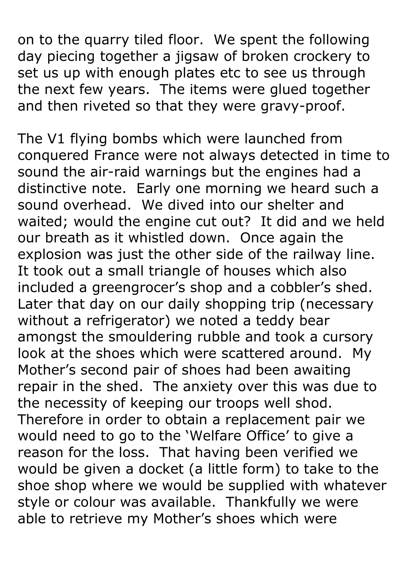on to the quarry tiled floor. We spent the following day piecing together a jigsaw of broken crockery to set us up with enough plates etc to see us through the next few years. The items were glued together and then riveted so that they were gravy-proof.

The V1 flying bombs which were launched from conquered France were not always detected in time to sound the air-raid warnings but the engines had a distinctive note. Early one morning we heard such a sound overhead. We dived into our shelter and waited; would the engine cut out? It did and we held our breath as it whistled down. Once again the explosion was just the other side of the railway line. It took out a small triangle of houses which also included a greengrocer's shop and a cobbler's shed. Later that day on our daily shopping trip (necessary without a refrigerator) we noted a teddy bear amongst the smouldering rubble and took a cursory look at the shoes which were scattered around. My Mother's second pair of shoes had been awaiting repair in the shed. The anxiety over this was due to the necessity of keeping our troops well shod. Therefore in order to obtain a replacement pair we would need to go to the 'Welfare Office' to give a reason for the loss. That having been verified we would be given a docket (a little form) to take to the shoe shop where we would be supplied with whatever style or colour was available. Thankfully we were able to retrieve my Mother's shoes which were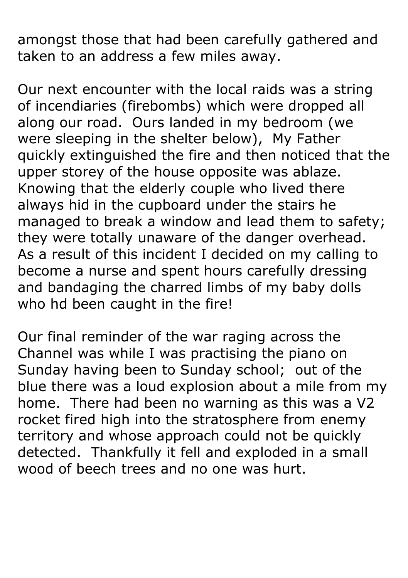amongst those that had been carefully gathered and taken to an address a few miles away.

Our next encounter with the local raids was a string of incendiaries (firebombs) which were dropped all along our road. Ours landed in my bedroom (we were sleeping in the shelter below), My Father quickly extinguished the fire and then noticed that the upper storey of the house opposite was ablaze. Knowing that the elderly couple who lived there always hid in the cupboard under the stairs he managed to break a window and lead them to safety; they were totally unaware of the danger overhead. As a result of this incident I decided on my calling to become a nurse and spent hours carefully dressing and bandaging the charred limbs of my baby dolls who hd been caught in the fire!

Our final reminder of the war raging across the Channel was while I was practising the piano on Sunday having been to Sunday school; out of the blue there was a loud explosion about a mile from my home. There had been no warning as this was a V2 rocket fired high into the stratosphere from enemy territory and whose approach could not be quickly detected. Thankfully it fell and exploded in a small wood of beech trees and no one was hurt.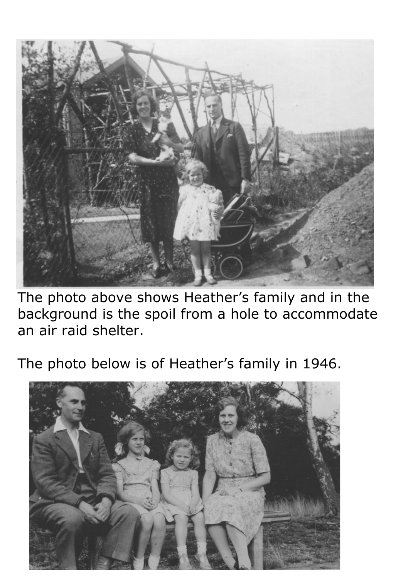

The photo above shows Heather's family and in the background is the spoil from a hole to accommodate an air raid shelter.

The photo below is of Heather's family in 1946.

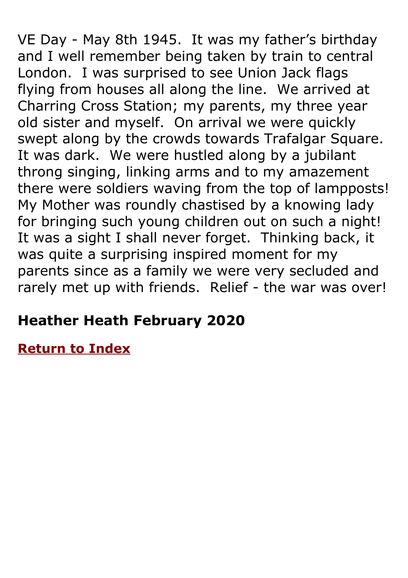VE Day - May 8th 1945. It was my father's birthday and I well remember being taken by train to central London. I was surprised to see Union Jack flags flying from houses all along the line. We arrived at Charring Cross Station; my parents, my three year old sister and myself. On arrival we were quickly swept along by the crowds towards Trafalgar Square. It was dark. We were hustled along by a jubilant throng singing, linking arms and to my amazement there were soldiers waving from the top of lampposts! My Mother was roundly chastised by a knowing lady for bringing such young children out on such a night! It was a sight I shall never forget. Thinking back, it was quite a surprising inspired moment for my parents since as a family we were very secluded and rarely met up with friends. Relief - the war was over!

## **Heather Heath February 2020**

**[Return to Index](#page-0-0)**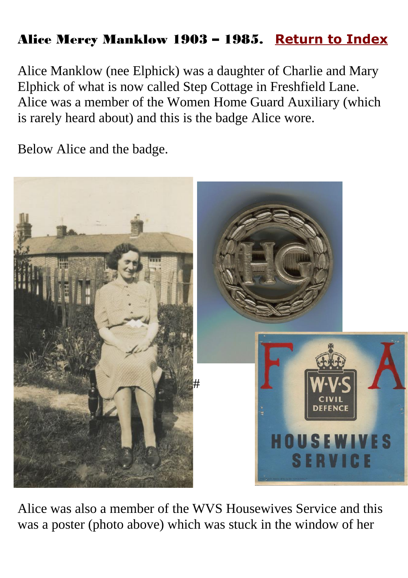### <span id="page-10-0"></span>Alice Mercy Manklow 1903 – 1985. **[Return to Index](#page-0-0)**

Alice Manklow (nee Elphick) was a daughter of Charlie and Mary Elphick of what is now called Step Cottage in Freshfield Lane. Alice was a member of the Women Home Guard Auxiliary (which is rarely heard about) and this is the badge Alice wore.

Below Alice and the badge.



Alice was also a member of the WVS Housewives Service and this was a poster (photo above) which was stuck in the window of her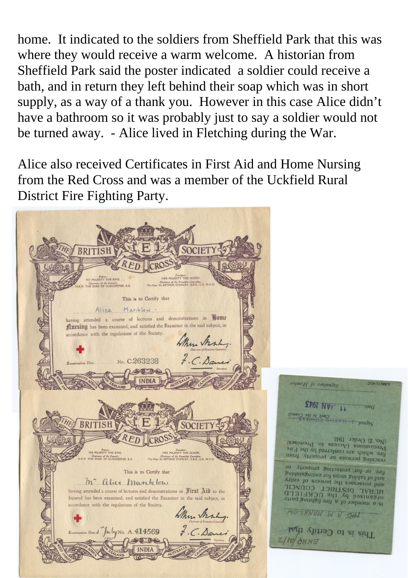home. It indicated to the soldiers from Sheffield Park that this was where they would receive a warm welcome. A historian from Sheffield Park said the poster indicated a soldier could receive a bath, and in return they left behind their soap which was in short supply, as a way of a thank you. However in this case Alice didn't have a bathroom so it was probably just to say a soldier would not be turned away. - Alice lived in Fletching during the War.

Alice also received Certificates in First Aid and Home Nursing from the Red Cross and was a member of the Uckfield Rural District Fire Fighting Party.